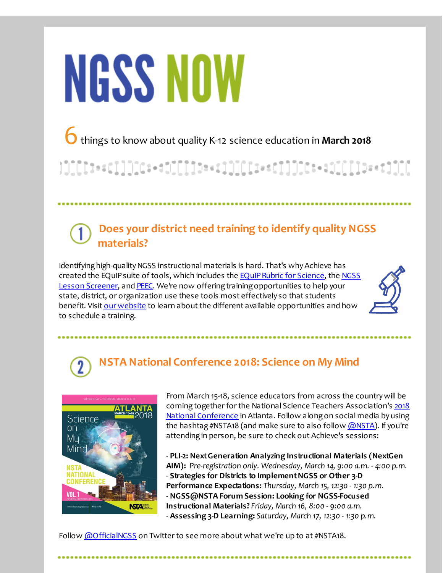# **NGSS NOW**

6things to know about quality K-12 science education in **March <sup>2018</sup>**

}]][[[t==c]]]][C=+d1][[][b==c]]][[[i==c]]]][C=+d1[[[]]b==t]][[

#### **Does your district need training to identify quality NGSS materials?**

Identifying high-quality NGSS instructional materials is hard. That's why Achieve has created the EQuIP suite of tools, which includes the **EQuIP Rubric for Science**, the NGSS Lesson Screener, and [PEEC](http://r20.rs6.net/tn.jsp?f=001F2Anh094rPWoHmOnry1Yr2XstD6vNPyhUPKj672TT9vrkvs1H8W4BYKha8Dp1tscN7U9IsmBzD8OwEdecsFd7E2kLVxEPrlhl4djJteiZisloF64r5aI_DcGoNJ2kCwWdWwJiIqU8t925DVSwWu5HP4diV_JEfxWs__MKFTnh222pH50XmvujjcQ-bka5fbR&c=&ch=). We're now offering training opportunities to help your state, district, or organization use these tools most effectively so that students benefit. Visit our [website](http://r20.rs6.net/tn.jsp?f=001F2Anh094rPWoHmOnry1Yr2XstD6vNPyhUPKj672TT9vrkvs1H8W4BRXXxRR7AqaAV8OoSpzMymZsIvDsVwXaCGl3YW1vF9VBOIhVaMG9RiGfsRME5ok1ZGQAfzE3jb58UZlChrex3wNxPCuPqQHXGtw0Meb3s24n-_408RCwlhyOP-BYv0e8zF_cY2A3Wf6eR7DgHZLVJtbaOMdVntxD5I92U21mzhawh6BPccm3zp1gbEut7N_B0DRKZSL71lXU&c=&ch=) to learn about the different available opportunities and how to schedule a training.



## **NSTA National Conference 2018: Science on My Mind**



From March 15-18, science educators from across the countrywill be coming together for the National Science Teachers Association's 2018 National Conference in Atlanta. Follow alongon social media by using the hashtag #NSTA18 (and make sure to also follow [@NSTA](http://r20.rs6.net/tn.jsp?f=001F2Anh094rPWoHmOnry1Yr2XstD6vNPyhUPKj672TT9vrkvs1H8W4BRXXxRR7AqaAyfTgOd3RqMEnPe4B72ddraiR19tnaXDFWIDCGJ_q-MzY7frDQ3dY247DGDHp5vvTK9gHXpt9qDLqOMNpAJiEdE-lyzs7RbaH0eoIUVAfzOc=&c=&ch=)). If you're attending in person, be sure to check out Achieve's sessions:

- **PLI-2: NextGeneration Analyzing Instructional Materials (NextGen AIM):** *Pre-registration only. Wednesday, March 14, 9:00 a.m. - 4:00 p.m.* - **Strategies for Districts to ImplementNGSS or Other 3-D Performance Expectations:** *Thursday, March 15, 12:30 - 1:30 p.m.* - **NGSS@NSTA Forum Session: Looking for NGSS-Focused Instructional Materials?** *Friday, March 16, 8:00 - 9:00 a.m.* - **Assessing 3-D Learning:** *Saturday, March 17, 12:30 - 1:30 p.m.*

Follow *[@OfficialNGSS](http://r20.rs6.net/tn.jsp?f=001F2Anh094rPWoHmOnry1Yr2XstD6vNPyhUPKj672TT9vrkvs1H8W4BcVSV2aGGx0Glp0Gyh2L4EMfeqMonZeXaTH2A8JLB-mSJS129P1Ri5ViHQI18RIxh-7rR17Agon2CfBYa7tIFMimNuOcoGEbb1sxae2kCM4yNyh48C8cZoQcIPWXnOJkUA==&c=&ch=)* on Twitter to see more about what we're up to at #NSTA18.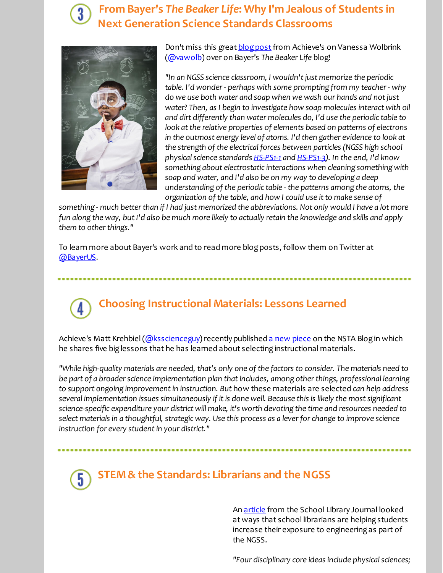#### **From Bayer's** *The Beaker Life***: Why I'm Jealous of Students in Next Generation Science Standards Classrooms**



Don't miss this great **blog post** from Achieve's on Vanessa Wolbrink [\(@vawolb](http://r20.rs6.net/tn.jsp?f=001F2Anh094rPWoHmOnry1Yr2XstD6vNPyhUPKj672TT9vrkvs1H8W4BRXXxRR7AqaAT48KeEqpmyNL0ManSvKUGzZ5fNsfJVbEoXSGVIISCmmKi4KTG3tOK7KN9JGuwMfCfkScFqrsQzHVK5TbVeX07aXc0-pRxaB3QApb8kdqUlBY6pZe0AkC5g==&c=&ch=)) over on Bayer's *The Beaker Life* blog!

*"In an NGSS science classroom, I wouldn'tjust memorize the periodic table. I'd wonder- perhaps with some prompting from my teacher- why do we use both water and soap when we wash our hands and notjust water? Then, as I begin to investigate how soap molecules interact with oil and dirt differently than water molecules do, I'd use the periodic table to look atthe relative properties of elements based on patterns of electrons in the outmost energy level of atoms. I'd then gather evidence to look at the strength of the electrical forces between particles (NGSS high school physicalscience standards [HS-PS1-1](http://r20.rs6.net/tn.jsp?f=001F2Anh094rPWoHmOnry1Yr2XstD6vNPyhUPKj672TT9vrkvs1H8W4BRXXxRR7AqaAVa7vAYU33pfRMi8FTuCGaEKFAYIOa2OUxTKpqR8fa1sYrdNFbt5pdCaqP0pBaDe9tAGD0UUEW-I0sj_hjiSwOWi9rcgzrzn0J0ZnQEGtZTJqTIFtBai41bEREtWh8TvgtN8Uo0nFDftzeWWIiJaD59gad3IX83DAd8u-rdSfIm8=&c=&ch=) and [HS-PS1-3](http://r20.rs6.net/tn.jsp?f=001F2Anh094rPWoHmOnry1Yr2XstD6vNPyhUPKj672TT9vrkvs1H8W4BRXXxRR7AqaACvDkXu7JCi8JGQESLE2jsqxpVrOWgyCkAZW-Yt-zffb7jBFI-90VKc_DNLVaBfSl1dtW6QeQb3A4zWal6_AwS5RPZgxVXcv2SMHUBIJnm-qcUX-ppvzk869Hn6BN9txWmQiz4csKW1YDsZ7fQiSv2ZQcxN-0RqqqwmRihWWvlec=&c=&ch=)). In the end, I'd know something about electrostatic interactions when cleaning something with soap and water, and I'd also be on my way to developing a deep understanding of the periodic table - the patterns among the atoms, the organization of the table, and how I could use itto make sense of*

something - much better than if I had just memorized the abbreviations. Not only would I have a lot more fun along the way, but I'd also be much more likely to actually retain the knowledge and skills and apply *them* to other things."

To learn more about Bayer's work and to read more blogposts, follow them on Twitter at [@BayerUS](http://r20.rs6.net/tn.jsp?f=001F2Anh094rPWoHmOnry1Yr2XstD6vNPyhUPKj672TT9vrkvs1H8W4BRXXxRR7AqaAthDhI2l3N6RdweRCgiWm459LGbQ1BFiqaCK3Jm3yX2YmSZDboEIK1fVbvutsu0fRHsOK8syZfKzJFruXpQY9RsoGg3IWvwZ1K40nbrYbDcshrVbrebEY8w==&c=&ch=).

# **Choosing Instructional Materials: Lessons Learned**

Achieve's Matt Krehbiel [\(@ksscienceguy](http://r20.rs6.net/tn.jsp?f=001F2Anh094rPWoHmOnry1Yr2XstD6vNPyhUPKj672TT9vrkvs1H8W4BRXXxRR7AqaAL-dZttdJ9H2p302bnR1bCcQkY9j4qBGe4EeMNRzybQzsfBnsj64bLG33y5LTwwbGGQ9272CodAGU3chsvwZ9AZ0WAPDO0xXNaiyXsEEtl8GBWltXaJy-xw==&c=&ch=)) recently published a new [piece](http://r20.rs6.net/tn.jsp?f=001F2Anh094rPWoHmOnry1Yr2XstD6vNPyhUPKj672TT9vrkvs1H8W4BRXXxRR7AqaAovSLR_zhF8pYWMy0Gs_th1e0rHxxw92LLrwfZNa0oIvwQJ2ncvqir-QqFmXZcj789dUEZRNlp88Ofl5F1OX-bVuPiW0t0EXz6Sk35uDs9ZG0wilwxQI7ie6mSByKf77PkJxgNWHE5VX92gdGBEVZuWXjT20V4ZUeUi16YXPm9UX3nZjkoQ7a9miY4dk1P6yDhdaCHAT_v7m56tOvPVFyuA==&c=&ch=) on the NSTA Blog in which he shares five biglessons that he has learned about selectinginstructional materials.

"While high-quality materials are needed, that's only one of the factors to consider. The materials need to *be part of a broaderscience implementation plan thatincludes, among otherthings, professional learning to support ongoing improvementin instruction. But* how these materials are selected *can help address several implementation issues simultaneously if itis done well. Because this is likely the mostsignificant science-specific expenditure your district will make, it's worth devoting the time and resources needed to select materials in a thoughtful, strategic way. Use this process as a leverfor change to improve science instruction for every studentin your district."*

### **STEM & the Standards: Librarians and the NGSS**

An [article](http://r20.rs6.net/tn.jsp?f=001F2Anh094rPWoHmOnry1Yr2XstD6vNPyhUPKj672TT9vrkvs1H8W4BRXXxRR7AqaAbj5qxcMSXvcY_dtRQFq75WSaWMfp8zykulXzcCUNxVQHYqiWN8sfHXt3ObgiakG5a6_z2eY5t6WFOyisJLUXp7yteXC7OL2FlraBXxarwUJ60YVeHRz-TylgttwTkmw7fP3UDEoctjJGgeMcdijs7AOhtEUKr8j0qAMuVFlH3Zupn5IRc8gWTw==&c=&ch=) from the School Library Journal looked at ways that school librarians are helping students increase their exposure to engineeringas part of the NGSS.

*"Four disciplinary core ideas include physicalsciences;*